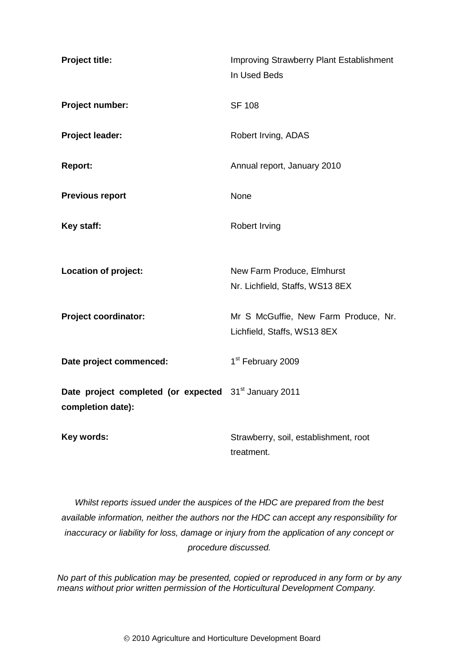| Project title:                                                                         | <b>Improving Strawberry Plant Establishment</b><br>In Used Beds     |
|----------------------------------------------------------------------------------------|---------------------------------------------------------------------|
| Project number:                                                                        | <b>SF 108</b>                                                       |
| Project leader:                                                                        | Robert Irving, ADAS                                                 |
| Report:                                                                                | Annual report, January 2010                                         |
| <b>Previous report</b>                                                                 | None                                                                |
| Key staff:                                                                             | <b>Robert Irving</b>                                                |
| Location of project:                                                                   | New Farm Produce, Elmhurst<br>Nr. Lichfield, Staffs, WS13 8EX       |
| <b>Project coordinator:</b>                                                            | Mr S McGuffie, New Farm Produce, Nr.<br>Lichfield, Staffs, WS13 8EX |
| Date project commenced:                                                                | 1 <sup>st</sup> February 2009                                       |
| Date project completed (or expected 31 <sup>st</sup> January 2011<br>completion date): |                                                                     |
| Key words:                                                                             | Strawberry, soil, establishment, root<br>treatment.                 |

*Whilst reports issued under the auspices of the HDC are prepared from the best available information, neither the authors nor the HDC can accept any responsibility for inaccuracy or liability for loss, damage or injury from the application of any concept or procedure discussed.*

*No part of this publication may be presented, copied or reproduced in any form or by any means without prior written permission of the Horticultural Development Company.*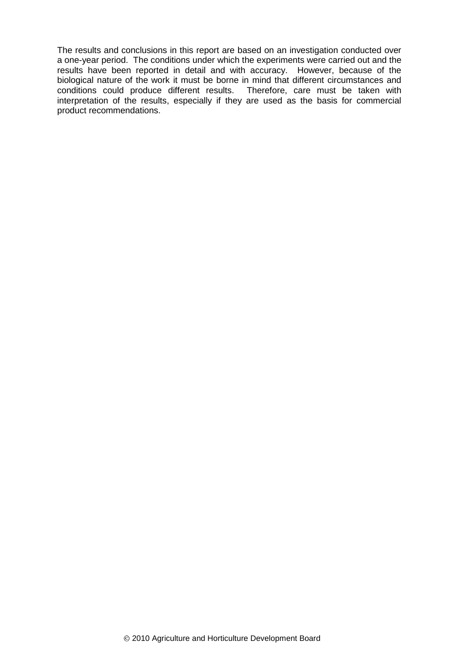The results and conclusions in this report are based on an investigation conducted over a one-year period. The conditions under which the experiments were carried out and the results have been reported in detail and with accuracy. However, because of the biological nature of the work it must be borne in mind that different circumstances and conditions could produce different results. Therefore, care must be taken with interpretation of the results, especially if they are used as the basis for commercial product recommendations.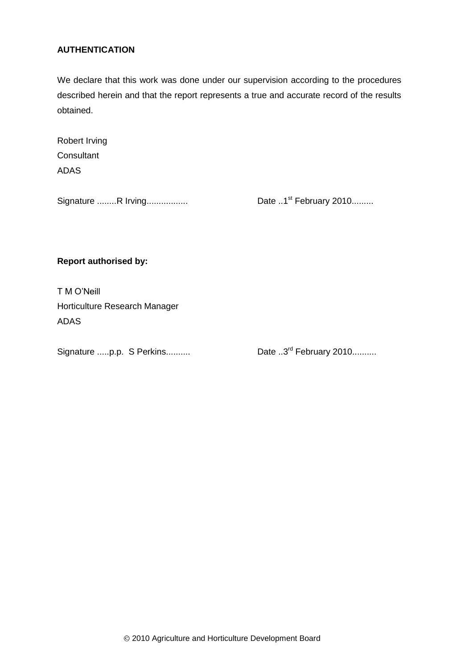### **AUTHENTICATION**

We declare that this work was done under our supervision according to the procedures described herein and that the report represents a true and accurate record of the results obtained.

| Robert Irving |
|---------------|
| Consultant    |
| <b>ADAS</b>   |

Signature ........R Irving..................

Date  $.1<sup>st</sup>$  February 2010.........

**Report authorised by:**

T M O'Neill Horticulture Research Manager ADAS

Signature .....p.p. S Perkins..........

Date  $.3<sup>rd</sup>$  February 2010..........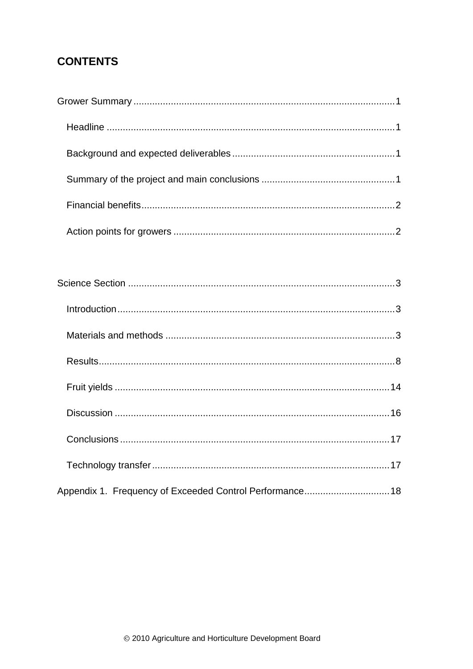# **CONTENTS**

| Appendix 1. Frequency of Exceeded Control Performance 18 |  |
|----------------------------------------------------------|--|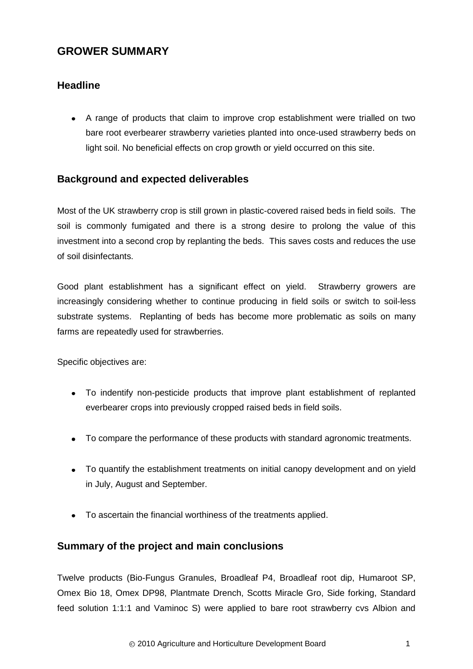# <span id="page-4-0"></span>**GROWER SUMMARY**

# <span id="page-4-1"></span>**Headline**

A range of products that claim to improve crop establishment were trialled on two bare root everbearer strawberry varieties planted into once-used strawberry beds on light soil. No beneficial effects on crop growth or yield occurred on this site.

# <span id="page-4-2"></span>**Background and expected deliverables**

Most of the UK strawberry crop is still grown in plastic-covered raised beds in field soils. The soil is commonly fumigated and there is a strong desire to prolong the value of this investment into a second crop by replanting the beds. This saves costs and reduces the use of soil disinfectants.

Good plant establishment has a significant effect on yield. Strawberry growers are increasingly considering whether to continue producing in field soils or switch to soil-less substrate systems. Replanting of beds has become more problematic as soils on many farms are repeatedly used for strawberries.

Specific objectives are:

- To indentify non-pesticide products that improve plant establishment of replanted everbearer crops into previously cropped raised beds in field soils.
- To compare the performance of these products with standard agronomic treatments.
- To quantify the establishment treatments on initial canopy development and on yield in July, August and September.
- To ascertain the financial worthiness of the treatments applied.

# <span id="page-4-3"></span>**Summary of the project and main conclusions**

Twelve products (Bio-Fungus Granules, Broadleaf P4, Broadleaf root dip, Humaroot SP, Omex Bio 18, Omex DP98, Plantmate Drench, Scotts Miracle Gro, Side forking, Standard feed solution 1:1:1 and Vaminoc S) were applied to bare root strawberry cvs Albion and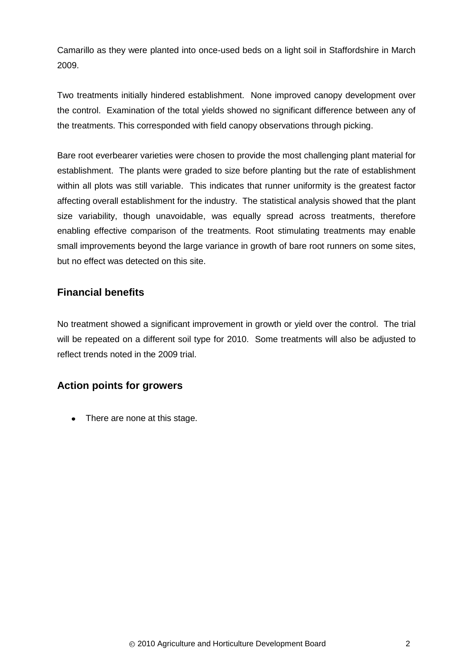Camarillo as they were planted into once-used beds on a light soil in Staffordshire in March 2009.

Two treatments initially hindered establishment. None improved canopy development over the control. Examination of the total yields showed no significant difference between any of the treatments. This corresponded with field canopy observations through picking.

Bare root everbearer varieties were chosen to provide the most challenging plant material for establishment. The plants were graded to size before planting but the rate of establishment within all plots was still variable. This indicates that runner uniformity is the greatest factor affecting overall establishment for the industry. The statistical analysis showed that the plant size variability, though unavoidable, was equally spread across treatments, therefore enabling effective comparison of the treatments. Root stimulating treatments may enable small improvements beyond the large variance in growth of bare root runners on some sites, but no effect was detected on this site.

# <span id="page-5-0"></span>**Financial benefits**

No treatment showed a significant improvement in growth or yield over the control. The trial will be repeated on a different soil type for 2010. Some treatments will also be adjusted to reflect trends noted in the 2009 trial.

# <span id="page-5-1"></span>**Action points for growers**

• There are none at this stage.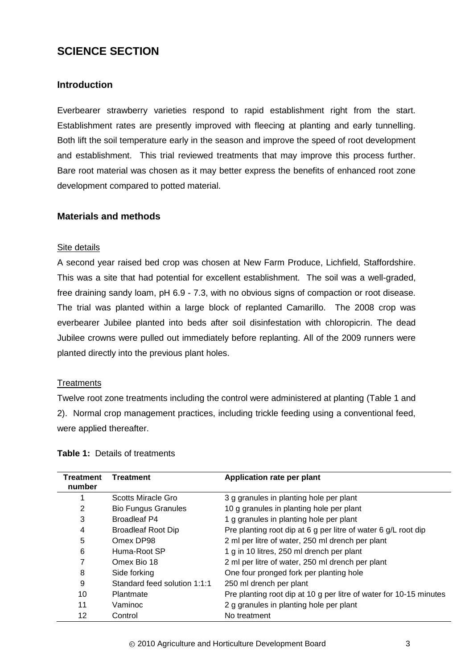# <span id="page-6-0"></span>**SCIENCE SECTION**

## <span id="page-6-1"></span>**Introduction**

Everbearer strawberry varieties respond to rapid establishment right from the start. Establishment rates are presently improved with fleecing at planting and early tunnelling. Both lift the soil temperature early in the season and improve the speed of root development and establishment. This trial reviewed treatments that may improve this process further. Bare root material was chosen as it may better express the benefits of enhanced root zone development compared to potted material.

### <span id="page-6-2"></span>**Materials and methods**

### Site details

A second year raised bed crop was chosen at New Farm Produce, Lichfield, Staffordshire. This was a site that had potential for excellent establishment. The soil was a well-graded, free draining sandy loam, pH 6.9 - 7.3, with no obvious signs of compaction or root disease. The trial was planted within a large block of replanted Camarillo. The 2008 crop was everbearer Jubilee planted into beds after soil disinfestation with chloropicrin. The dead Jubilee crowns were pulled out immediately before replanting. All of the 2009 runners were planted directly into the previous plant holes.

### **Treatments**

Twelve root zone treatments including the control were administered at planting (Table 1 and 2). Normal crop management practices, including trickle feeding using a conventional feed, were applied thereafter.

| Treatment<br>number | <b>Treatment</b>             | Application rate per plant                                         |
|---------------------|------------------------------|--------------------------------------------------------------------|
|                     | Scotts Miracle Gro           | 3 g granules in planting hole per plant                            |
| 2                   | <b>Bio Fungus Granules</b>   | 10 g granules in planting hole per plant                           |
| 3                   | Broadleaf P4                 | 1 g granules in planting hole per plant                            |
| 4                   | <b>Broadleaf Root Dip</b>    | Pre planting root dip at 6 g per litre of water 6 g/L root dip     |
| 5                   | Omex DP98                    | 2 ml per litre of water, 250 ml drench per plant                   |
| 6                   | Huma-Root SP                 | 1 g in 10 litres, 250 ml drench per plant                          |
| 7                   | Omex Bio 18                  | 2 ml per litre of water, 250 ml drench per plant                   |
| 8                   | Side forking                 | One four pronged fork per planting hole                            |
| 9                   | Standard feed solution 1:1:1 | 250 ml drench per plant                                            |
| 10                  | <b>Plantmate</b>             | Pre planting root dip at 10 g per litre of water for 10-15 minutes |
| 11                  | Vaminoc                      | 2 g granules in planting hole per plant                            |
| 12                  | Control                      | No treatment                                                       |

#### **Table 1:** Details of treatments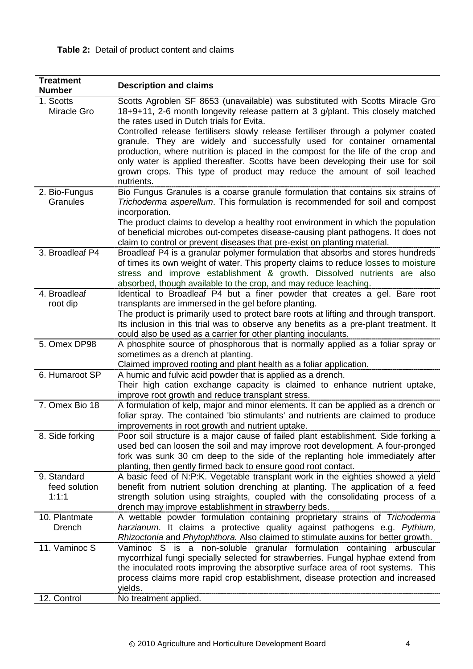# **Table 2:** Detail of product content and claims

| <b>Treatment</b><br><b>Number</b>     | <b>Description and claims</b>                                                                                                                                                                                                                                                                                          |
|---------------------------------------|------------------------------------------------------------------------------------------------------------------------------------------------------------------------------------------------------------------------------------------------------------------------------------------------------------------------|
| 1. Scotts<br>Miracle Gro              | Scotts Agroblen SF 8653 (unavailable) was substituted with Scotts Miracle Gro<br>18+9+11, 2-6 month longevity release pattern at 3 g/plant. This closely matched<br>the rates used in Dutch trials for Evita.                                                                                                          |
|                                       | Controlled release fertilisers slowly release fertiliser through a polymer coated<br>granule. They are widely and successfully used for container ornamental<br>production, where nutrition is placed in the compost for the life of the crop and                                                                      |
|                                       | only water is applied thereafter. Scotts have been developing their use for soil<br>grown crops. This type of product may reduce the amount of soil leached                                                                                                                                                            |
|                                       | nutrients.                                                                                                                                                                                                                                                                                                             |
| 2. Bio-Fungus<br>Granules             | Bio Fungus Granules is a coarse granule formulation that contains six strains of<br>Trichoderma asperellum. This formulation is recommended for soil and compost<br>incorporation.                                                                                                                                     |
|                                       | The product claims to develop a healthy root environment in which the population<br>of beneficial microbes out-competes disease-causing plant pathogens. It does not<br>claim to control or prevent diseases that pre-exist on planting material.                                                                      |
| 3. Broadleaf P4                       | Broadleaf P4 is a granular polymer formulation that absorbs and stores hundreds<br>of times its own weight of water. This property claims to reduce losses to moisture<br>stress and improve establishment & growth. Dissolved nutrients are also<br>absorbed, though available to the crop, and may reduce leaching.  |
| 4. Broadleaf                          | Identical to Broadleaf P4 but a finer powder that creates a gel. Bare root                                                                                                                                                                                                                                             |
| root dip                              | transplants are immersed in the gel before planting.                                                                                                                                                                                                                                                                   |
|                                       | The product is primarily used to protect bare roots at lifting and through transport.<br>Its inclusion in this trial was to observe any benefits as a pre-plant treatment. It<br>could also be used as a carrier for other planting inoculants.                                                                        |
| 5. Omex DP98                          | A phosphite source of phosphorous that is normally applied as a foliar spray or<br>sometimes as a drench at planting.<br>Claimed improved rooting and plant health as a foliar application.                                                                                                                            |
| 6. Humaroot SP                        | A humic and fulvic acid powder that is applied as a drench.<br>Their high cation exchange capacity is claimed to enhance nutrient uptake,                                                                                                                                                                              |
|                                       | improve root growth and reduce transplant stress.                                                                                                                                                                                                                                                                      |
| 7. Omex Bio 18                        | A formulation of kelp, major and minor elements. It can be applied as a drench or<br>foliar spray. The contained 'bio stimulants' and nutrients are claimed to produce<br>improvements in root growth and nutrient uptake.                                                                                             |
| 8. Side forking                       | Poor soil structure is a major cause of failed plant establishment. Side forking a<br>used bed can loosen the soil and may improve root development. A four-pronged<br>fork was sunk 30 cm deep to the side of the replanting hole immediately after<br>planting, then gently firmed back to ensure good root contact. |
| 9. Standard<br>feed solution<br>1:1:1 | A basic feed of N:P:K. Vegetable transplant work in the eighties showed a yield<br>benefit from nutrient solution drenching at planting. The application of a feed<br>strength solution using straights, coupled with the consolidating process of a<br>drench may improve establishment in strawberry beds.           |
| 10. Plantmate                         | A wettable powder formulation containing proprietary strains of Trichoderma                                                                                                                                                                                                                                            |
| <b>Drench</b>                         | harzianum. It claims a protective quality against pathogens e.g. Pythium,<br>Rhizoctonia and Phytophthora. Also claimed to stimulate auxins for better growth.                                                                                                                                                         |
| 11. Vaminoc S                         | Vaminoc S is a non-soluble granular formulation containing arbuscular                                                                                                                                                                                                                                                  |
|                                       | mycorrhizal fungi specially selected for strawberries. Fungal hyphae extend from                                                                                                                                                                                                                                       |
|                                       | the inoculated roots improving the absorptive surface area of root systems. This<br>process claims more rapid crop establishment, disease protection and increased<br>yields.                                                                                                                                          |
| 12. Control                           | No treatment applied.                                                                                                                                                                                                                                                                                                  |
|                                       |                                                                                                                                                                                                                                                                                                                        |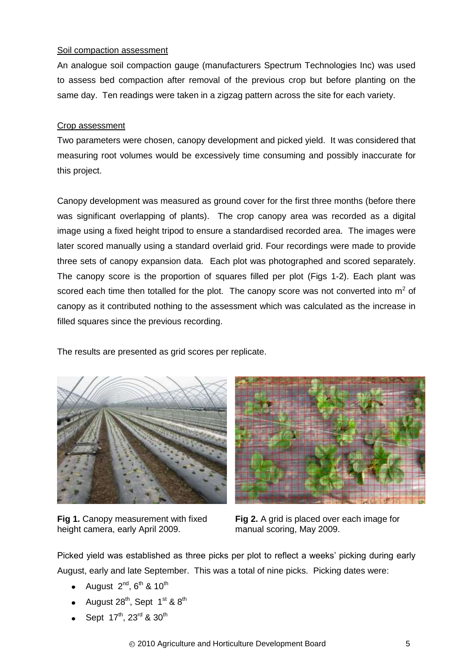### Soil compaction assessment

An analogue soil compaction gauge (manufacturers Spectrum Technologies Inc) was used to assess bed compaction after removal of the previous crop but before planting on the same day. Ten readings were taken in a zigzag pattern across the site for each variety.

## Crop assessment

Two parameters were chosen, canopy development and picked yield. It was considered that measuring root volumes would be excessively time consuming and possibly inaccurate for this project.

Canopy development was measured as ground cover for the first three months (before there was significant overlapping of plants). The crop canopy area was recorded as a digital image using a fixed height tripod to ensure a standardised recorded area. The images were later scored manually using a standard overlaid grid. Four recordings were made to provide three sets of canopy expansion data. Each plot was photographed and scored separately. The canopy score is the proportion of squares filled per plot (Figs 1-2). Each plant was scored each time then totalled for the plot. The canopy score was not converted into  $m^2$  of canopy as it contributed nothing to the assessment which was calculated as the increase in filled squares since the previous recording.

The results are presented as grid scores per replicate.



**Fig 1.** Canopy measurement with fixed height camera, early April 2009.



**Fig 2.** A grid is placed over each image for manual scoring, May 2009.

Picked yield was established as three picks per plot to reflect a weeks' picking during early August, early and late September. This was a total of nine picks. Picking dates were:

- August  $2^{nd}$ ,  $6^{th}$  &  $10^{th}$
- August  $28^{th}$ , Sept  $1^{st}$  &  $8^{th}$
- Sept 17th, 23rd & 30th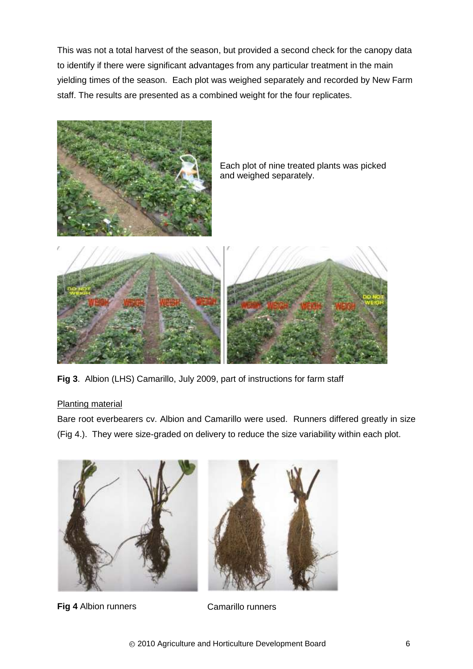This was not a total harvest of the season, but provided a second check for the canopy data to identify if there were significant advantages from any particular treatment in the main yielding times of the season. Each plot was weighed separately and recorded by New Farm staff. The results are presented as a combined weight for the four replicates.



Each plot of nine treated plants was picked and weighed separately.



**Fig 3**. Albion (LHS) Camarillo, July 2009, part of instructions for farm staff

# Planting material

Bare root everbearers cv. Albion and Camarillo were used. Runners differed greatly in size (Fig 4.). They were size-graded on delivery to reduce the size variability within each plot.



**Fig 4** Albion runners **Camarillo runners**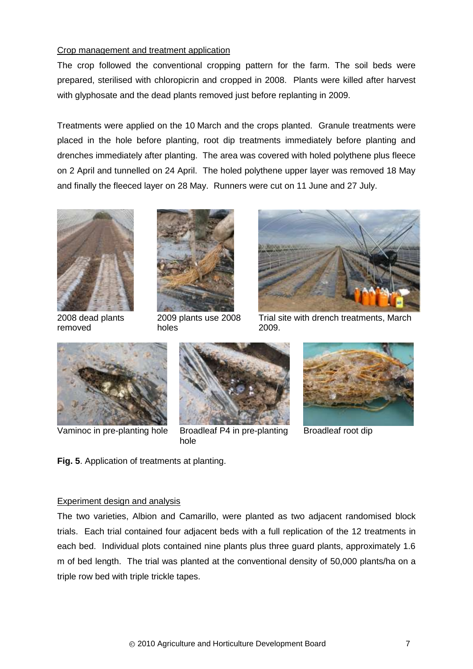### Crop management and treatment application

The crop followed the conventional cropping pattern for the farm. The soil beds were prepared, sterilised with chloropicrin and cropped in 2008. Plants were killed after harvest with glyphosate and the dead plants removed just before replanting in 2009.

Treatments were applied on the 10 March and the crops planted. Granule treatments were placed in the hole before planting, root dip treatments immediately before planting and drenches immediately after planting. The area was covered with holed polythene plus fleece on 2 April and tunnelled on 24 April. The holed polythene upper layer was removed 18 May and finally the fleeced layer on 28 May. Runners were cut on 11 June and 27 July.



2008 dead plants removed



2009 plants use 2008 holes



Trial site with drench treatments, March 2009.





Vaminoc in pre-planting hole Broadleaf P4 in pre-planting hole



Broadleaf root dip

**Fig. 5**. Application of treatments at planting.

# Experiment design and analysis

The two varieties, Albion and Camarillo, were planted as two adjacent randomised block trials. Each trial contained four adjacent beds with a full replication of the 12 treatments in each bed. Individual plots contained nine plants plus three guard plants, approximately 1.6 m of bed length. The trial was planted at the conventional density of 50,000 plants/ha on a triple row bed with triple trickle tapes.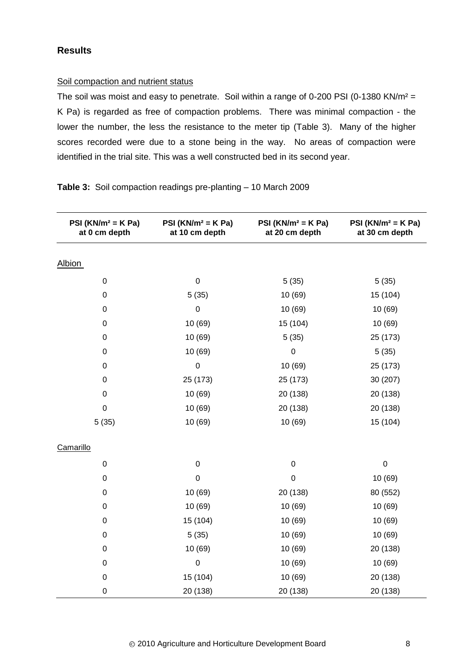# <span id="page-11-0"></span>**Results**

#### Soil compaction and nutrient status

The soil was moist and easy to penetrate. Soil within a range of 0-200 PSI (0-1380 KN/m<sup>2</sup> = K Pa) is regarded as free of compaction problems. There was minimal compaction - the lower the number, the less the resistance to the meter tip (Table 3). Many of the higher scores recorded were due to a stone being in the way. No areas of compaction were identified in the trial site. This was a well constructed bed in its second year.

| PSI ( $KN/m^2 = K$ Pa)<br>at 0 cm depth | PSI ( $KN/m^2 = K$ Pa)<br>at 10 cm depth | PSI ( $KN/m^2 = K$ Pa)<br>at 20 cm depth | PSI ( $KN/m^2 = K$ Pa)<br>at 30 cm depth |  |  |
|-----------------------------------------|------------------------------------------|------------------------------------------|------------------------------------------|--|--|
| <b>Albion</b>                           |                                          |                                          |                                          |  |  |
| $\pmb{0}$                               | $\mathbf 0$                              | 5(35)                                    | 5(35)                                    |  |  |
| $\pmb{0}$                               | 5(35)                                    | 10 (69)                                  | 15 (104)                                 |  |  |
| $\pmb{0}$                               | $\boldsymbol{0}$                         | 10 (69)                                  | 10 (69)                                  |  |  |
| $\pmb{0}$                               | 10 (69)                                  | 15 (104)                                 | 10 (69)                                  |  |  |
| $\pmb{0}$                               | 10 (69)                                  | 5(35)                                    | 25 (173)                                 |  |  |
| $\pmb{0}$                               | 10 (69)                                  | $\boldsymbol{0}$                         | 5(35)                                    |  |  |
| $\pmb{0}$                               | $\mathbf 0$                              | 10 (69)                                  | 25 (173)                                 |  |  |
| $\pmb{0}$                               | 25 (173)                                 | 25 (173)                                 | 30 (207)                                 |  |  |
| $\boldsymbol{0}$                        | 10 (69)                                  | 20 (138)                                 | 20 (138)                                 |  |  |
| $\boldsymbol{0}$                        | 10 (69)                                  | 20 (138)                                 | 20 (138)                                 |  |  |
| 5(35)                                   | 10 (69)                                  | 10 (69)                                  | 15 (104)                                 |  |  |
| Camarillo                               |                                          |                                          |                                          |  |  |
| 0                                       | $\mathbf 0$                              | $\pmb{0}$                                | $\boldsymbol{0}$                         |  |  |
| $\pmb{0}$                               | $\pmb{0}$                                | $\mathbf 0$                              | 10 (69)                                  |  |  |
| $\pmb{0}$                               | 10 (69)                                  |                                          | 80 (552)                                 |  |  |
| 0                                       | 10 (69)                                  |                                          | 10 (69)                                  |  |  |
| $\pmb{0}$                               | 15 (104)                                 | 10 (69)                                  | 10 (69)                                  |  |  |
| $\pmb{0}$                               | 5(35)                                    | 10 (69)                                  | 10 (69)                                  |  |  |
| $\pmb{0}$                               | 10 (69)                                  | 10 (69)                                  | 20 (138)                                 |  |  |
| $\pmb{0}$                               | $\mathbf 0$                              | 10 (69)                                  | 10 (69)                                  |  |  |
| $\boldsymbol{0}$                        | 15 (104)                                 |                                          | 20 (138)                                 |  |  |
| $\pmb{0}$                               | 20 (138)                                 | 20 (138)                                 | 20 (138)                                 |  |  |

#### **Table 3:** Soil compaction readings pre-planting – 10 March 2009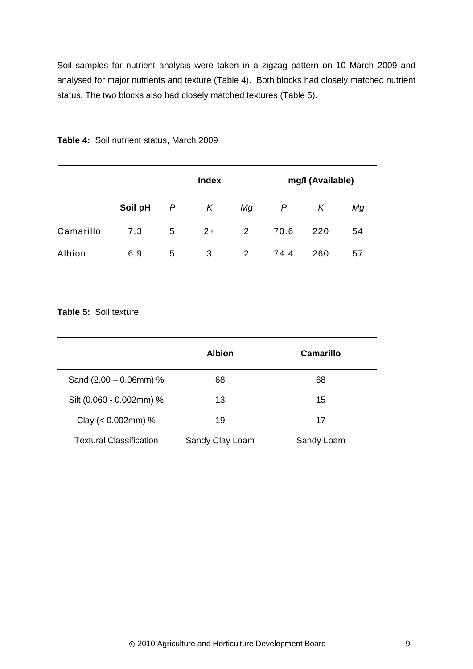Soil samples for nutrient analysis were taken in a zigzag pattern on 10 March 2009 and analysed for major nutrients and texture (Table 4). Both blocks had closely matched nutrient status. The two blocks also had closely matched textures (Table 5).

|           |         |   | <b>Index</b> |    | mg/l (Available) |     |    |  |
|-----------|---------|---|--------------|----|------------------|-----|----|--|
|           | Soil pH | P | K            | Мg | P                | Κ   | Мg |  |
| Camarillo | 7.3     | 5 | $2+$         | 2  | 70.6             | 220 | 54 |  |
| Albion    | 6.9     | 5 | 3            | 2  | 74.4             | 260 | 57 |  |

#### **Table 4:** Soil nutrient status, March 2009

## **Table 5:** Soil texture

|                                | <b>Albion</b>   | Camarillo  |
|--------------------------------|-----------------|------------|
| Sand $(2.00 - 0.06$ mm $)$ %   | 68              | 68         |
| Silt (0.060 - 0.002mm) %       | 13              | 15         |
| Clay ( $< 0.002$ mm) %         | 19              | 17         |
| <b>Textural Classification</b> | Sandy Clay Loam | Sandy Loam |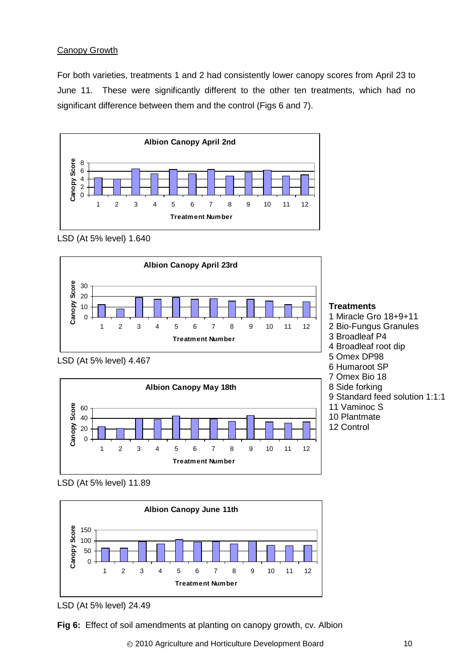# Canopy Growth

For both varieties, treatments 1 and 2 had consistently lower canopy scores from April 23 to June 11. These were significantly different to the other ten treatments, which had no significant difference between them and the control (Figs 6 and 7).



LSD (At 5% level) 1.640



LSD (At 5% level) 4.467



LSD (At 5% level) 11.89



LSD (At 5% level) 24.49

**Fig 6:** Effect of soil amendments at planting on canopy growth, cv. Albion

6 Humaroot SP 7 Omex Bio 18 8 Side forking

11 Vaminoc S 10 Plantmate 12 Control

9 Standard feed solution 1:1:1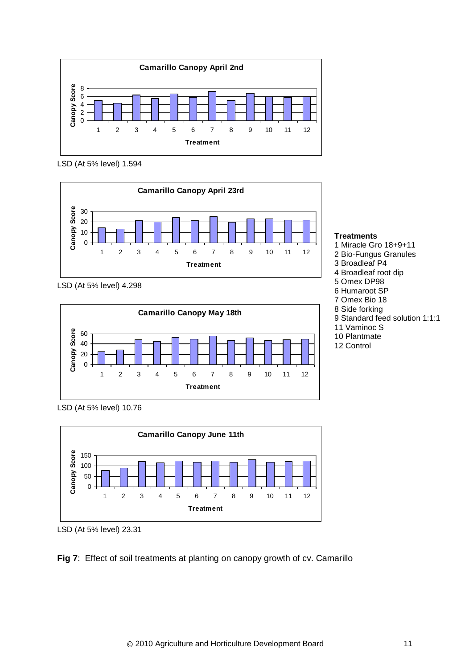

LSD (At 5% level) 1.594



LSD (At 5% level) 4.298



LSD (At 5% level) 10.76



LSD (At 5% level) 23.31



### **Treatments**

1 Miracle Gro 18+9+11 2 Bio-Fungus Granules 3 Broadleaf P4 4 Broadleaf root dip 5 Omex DP98 6 Humaroot SP 7 Omex Bio 18 8 Side forking 9 Standard feed solution 1:1:1 11 Vaminoc S 10 Plantmate 12 Control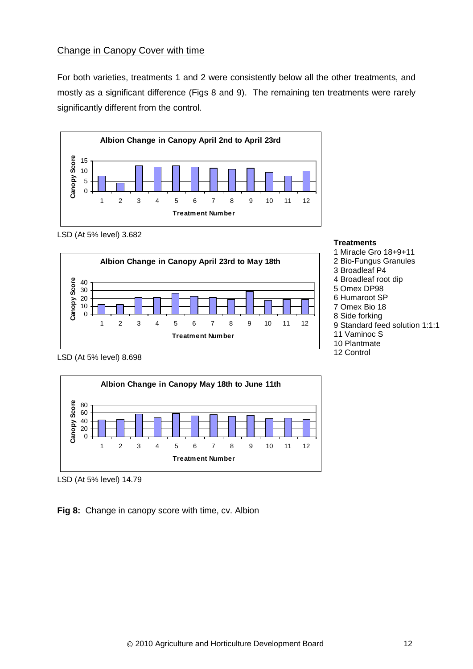## Change in Canopy Cover with time

For both varieties, treatments 1 and 2 were consistently below all the other treatments, and mostly as a significant difference (Figs 8 and 9). The remaining ten treatments were rarely significantly different from the control.



#### LSD (At 5% level) 3.682





LSD (At 5% level) 8.698



LSD (At 5% level) 14.79

**Fig 8:** Change in canopy score with time, cv. Albion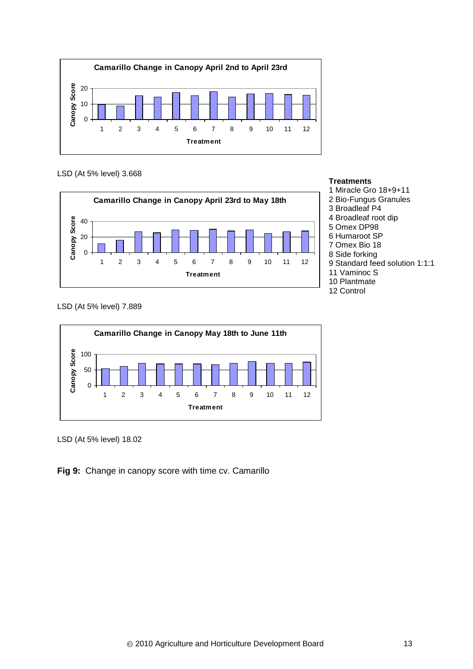

LSD (At 5% level) 3.668



**Treatments**

1 Miracle Gro 18+9+11 2 Bio-Fungus Granules 3 Broadleaf P4 4 Broadleaf root dip 5 Omex DP98 6 Humaroot SP 7 Omex Bio 18 8 Side forking 9 Standard feed solution 1:1:1 11 Vaminoc S 10 Plantmate 12 Control

LSD (At 5% level) 7.889



LSD (At 5% level) 18.02

**Fig 9:** Change in canopy score with time cv. Camarillo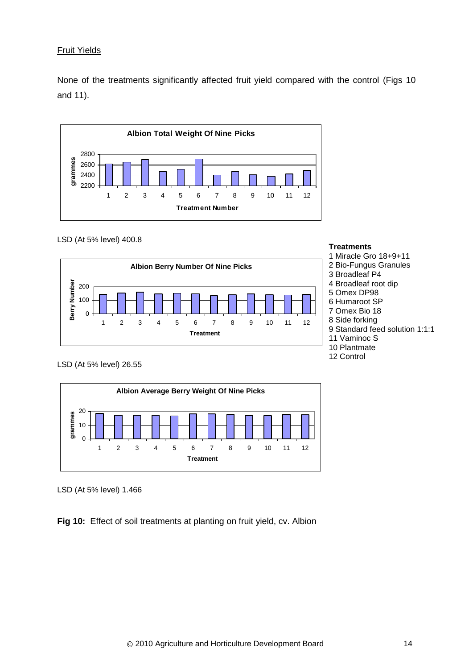## <span id="page-17-0"></span>Fruit Yields

None of the treatments significantly affected fruit yield compared with the control (Figs 10 and 11).



#### LSD (At 5% level) 400.8





LSD (At 5% level) 26.55



LSD (At 5% level) 1.466

**Fig 10:** Effect of soil treatments at planting on fruit yield, cv. Albion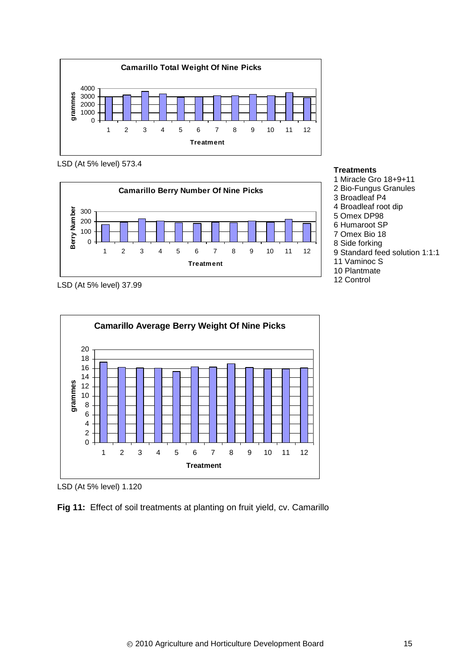

LSD (At 5% level) 573.4



#### **Treatments**

- 1 Miracle Gro 18+9+11
- 2 Bio-Fungus Granules
- 3 Broadleaf P4
- 4 Broadleaf root dip
- 5 Omex DP98
- 6 Humaroot SP
- 7 Omex Bio 18 8 Side forking
- 9 Standard feed solution 1:1:1
- 11 Vaminoc S
- 10 Plantmate
- 12 Control

LSD (At 5% level) 37.99



LSD (At 5% level) 1.120

**Fig 11:** Effect of soil treatments at planting on fruit yield, cv. Camarillo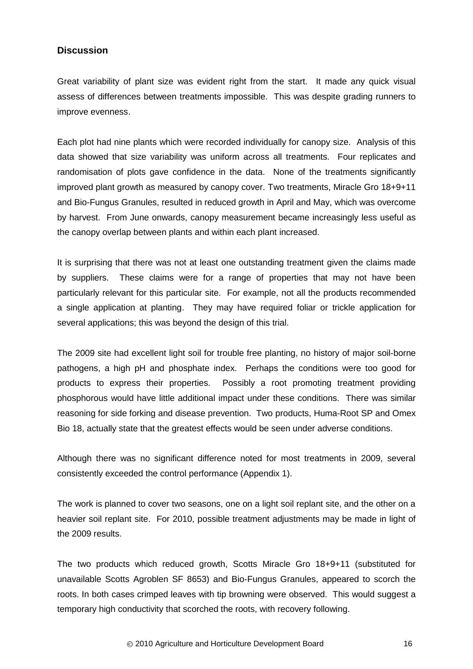### <span id="page-19-0"></span>**Discussion**

Great variability of plant size was evident right from the start. It made any quick visual assess of differences between treatments impossible. This was despite grading runners to improve evenness.

Each plot had nine plants which were recorded individually for canopy size. Analysis of this data showed that size variability was uniform across all treatments. Four replicates and randomisation of plots gave confidence in the data. None of the treatments significantly improved plant growth as measured by canopy cover. Two treatments, Miracle Gro 18+9+11 and Bio-Fungus Granules, resulted in reduced growth in April and May, which was overcome by harvest. From June onwards, canopy measurement became increasingly less useful as the canopy overlap between plants and within each plant increased.

It is surprising that there was not at least one outstanding treatment given the claims made by suppliers. These claims were for a range of properties that may not have been particularly relevant for this particular site. For example, not all the products recommended a single application at planting. They may have required foliar or trickle application for several applications; this was beyond the design of this trial.

The 2009 site had excellent light soil for trouble free planting, no history of major soil-borne pathogens, a high pH and phosphate index. Perhaps the conditions were too good for products to express their properties. Possibly a root promoting treatment providing phosphorous would have little additional impact under these conditions. There was similar reasoning for side forking and disease prevention. Two products, Huma-Root SP and Omex Bio 18, actually state that the greatest effects would be seen under adverse conditions.

Although there was no significant difference noted for most treatments in 2009, several consistently exceeded the control performance (Appendix 1).

The work is planned to cover two seasons, one on a light soil replant site, and the other on a heavier soil replant site. For 2010, possible treatment adjustments may be made in light of the 2009 results.

The two products which reduced growth, Scotts Miracle Gro 18+9+11 (substituted for unavailable Scotts Agroblen SF 8653) and Bio-Fungus Granules, appeared to scorch the roots. In both cases crimped leaves with tip browning were observed. This would suggest a temporary high conductivity that scorched the roots, with recovery following.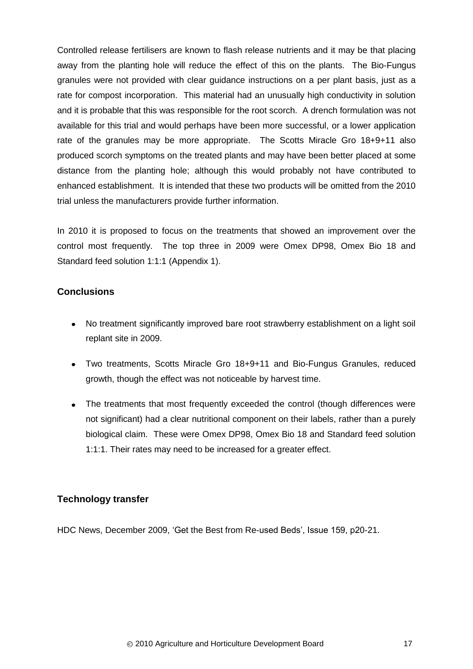Controlled release fertilisers are known to flash release nutrients and it may be that placing away from the planting hole will reduce the effect of this on the plants. The Bio-Fungus granules were not provided with clear guidance instructions on a per plant basis, just as a rate for compost incorporation. This material had an unusually high conductivity in solution and it is probable that this was responsible for the root scorch. A drench formulation was not available for this trial and would perhaps have been more successful, or a lower application rate of the granules may be more appropriate. The Scotts Miracle Gro 18+9+11 also produced scorch symptoms on the treated plants and may have been better placed at some distance from the planting hole; although this would probably not have contributed to enhanced establishment. It is intended that these two products will be omitted from the 2010 trial unless the manufacturers provide further information.

In 2010 it is proposed to focus on the treatments that showed an improvement over the control most frequently. The top three in 2009 were Omex DP98, Omex Bio 18 and Standard feed solution 1:1:1 (Appendix 1).

# <span id="page-20-0"></span>**Conclusions**

- $\bullet$ No treatment significantly improved bare root strawberry establishment on a light soil replant site in 2009.
- Two treatments, Scotts Miracle Gro 18+9+11 and Bio-Fungus Granules, reduced growth, though the effect was not noticeable by harvest time.
- The treatments that most frequently exceeded the control (though differences were not significant) had a clear nutritional component on their labels, rather than a purely biological claim. These were Omex DP98, Omex Bio 18 and Standard feed solution 1:1:1. Their rates may need to be increased for a greater effect.

# <span id="page-20-1"></span>**Technology transfer**

HDC News, December 2009, 'Get the Best from Re-used Beds', Issue 159, p20-21.